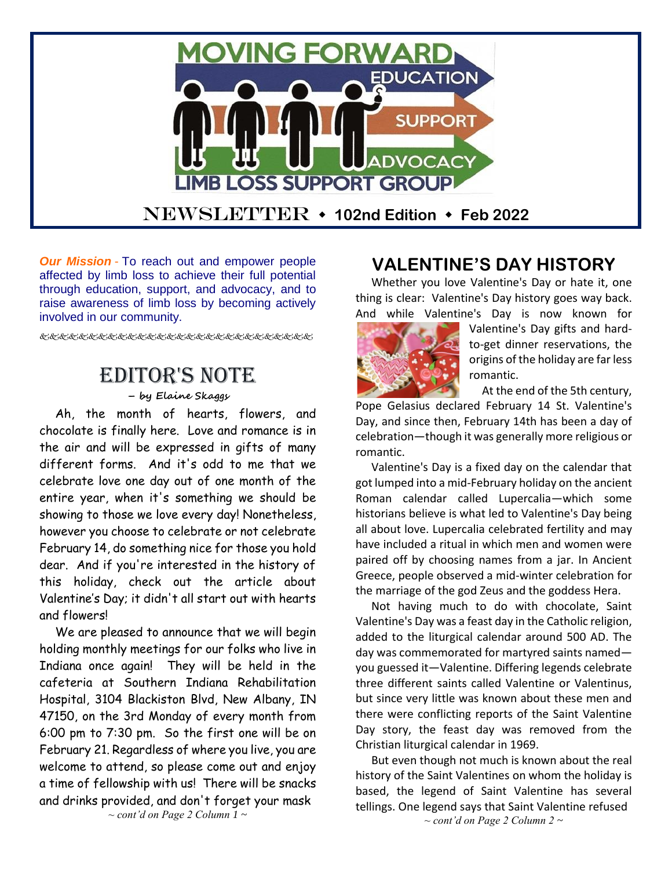

*Our Mission* - To reach out and empower people affected by limb loss to achieve their full potential through education, support, and advocacy, and to raise awareness of limb loss by becoming actively involved in our community.

# Editor's Note

### **– by Elaine Skaggs**

Ah, the month of hearts, flowers, and chocolate is finally here. Love and romance is in the air and will be expressed in gifts of many different forms. And it's odd to me that we celebrate love one day out of one month of the entire year, when it's something we should be showing to those we love every day! Nonetheless, however you choose to celebrate or not celebrate February 14, do something nice for those you hold dear. And if you're interested in the history of this holiday, check out the article about Valentine's Day; it didn't all start out with hearts and flowers!

We are pleased to announce that we will begin holding monthly meetings for our folks who live in Indiana once again! They will be held in the cafeteria at Southern Indiana Rehabilitation Hospital, 3104 Blackiston Blvd, New Albany, IN 47150, on the 3rd Monday of every month from 6:00 pm to 7:30 pm. So the first one will be on February 21. Regardless of where you live, you are welcome to attend, so please come out and enjoy a time of fellowship with us! There will be snacks and drinks provided, and don't forget your mask

## **VALENTINE'S DAY HISTORY**

Whether you love Valentine's Day or hate it, one thing is clear: Valentine's Day history goes way back. And while Valentine's Day is now known for



Valentine's Day gifts and hardto-get dinner reservations, the origins of the holiday are far less romantic.

At the end of the 5th century,

Pope Gelasius declared February 14 St. Valentine's Day, and since then, February 14th has been a day of celebration—though it was generally more religious or romantic.

Valentine's Day is a fixed day on the calendar that got lumped into a mid-February holiday on the ancient Roman calendar called Lupercalia—which some historians believe is what led to Valentine's Day being all about love. Lupercalia celebrated fertility and may have included a ritual in which men and women were paired off by choosing names from a jar. In Ancient Greece, people observed a mid-winter celebration for the marriage of the god Zeus and the goddess Hera.

Not having much to do with chocolate, Saint Valentine's Day was a feast day in the Catholic religion, added to the liturgical calendar around 500 AD. The day was commemorated for martyred saints named you guessed it—Valentine. Differing legends celebrate three different saints called Valentine or Valentinus, but since very little was known about these men and there were conflicting reports of the Saint Valentine Day story, the feast day was removed from the Christian liturgical calendar in 1969.

But even though not much is known about the real history of the Saint Valentines on whom the holiday is based, the legend of Saint Valentine has several tellings. One legend says that Saint Valentine refused *~ cont'd on Page 2 Column 2 ~*

*~ cont'd on Page 2 Column 1 ~*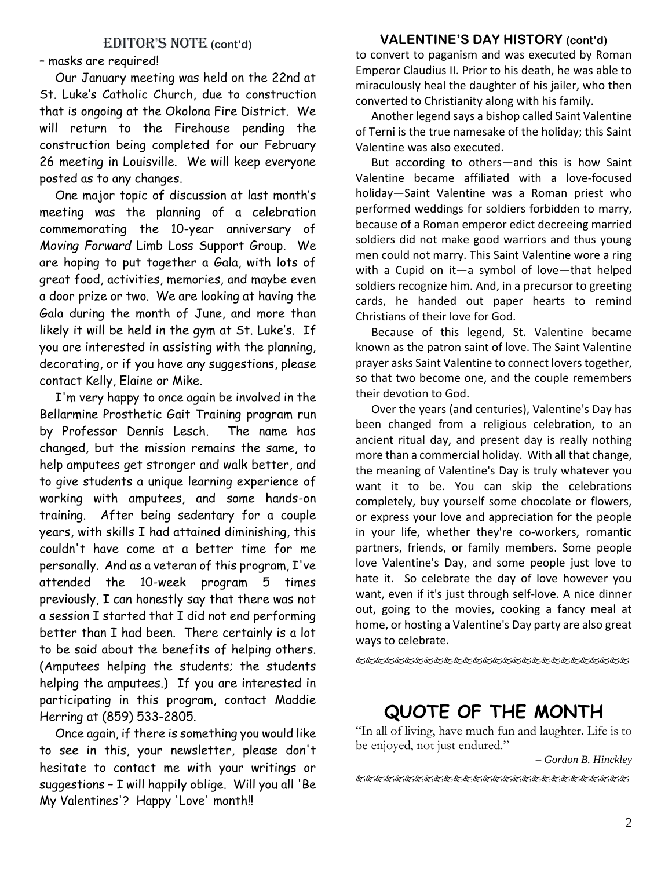## EDITOR'S NOTE (cont'd)

– masks are required!

Our January meeting was held on the 22nd at St. Luke's Catholic Church, due to construction that is ongoing at the Okolona Fire District. We will return to the Firehouse pending the construction being completed for our February 26 meeting in Louisville. We will keep everyone posted as to any changes.

One major topic of discussion at last month's meeting was the planning of a celebration commemorating the 10-year anniversary of *Moving Forward* Limb Loss Support Group. We are hoping to put together a Gala, with lots of great food, activities, memories, and maybe even a door prize or two. We are looking at having the Gala during the month of June, and more than likely it will be held in the gym at St. Luke's. If you are interested in assisting with the planning, decorating, or if you have any suggestions, please contact Kelly, Elaine or Mike.

I'm very happy to once again be involved in the Bellarmine Prosthetic Gait Training program run by Professor Dennis Lesch. The name has changed, but the mission remains the same, to help amputees get stronger and walk better, and to give students a unique learning experience of working with amputees, and some hands-on training. After being sedentary for a couple years, with skills I had attained diminishing, this couldn't have come at a better time for me personally. And as a veteran of this program, I've attended the 10-week program 5 times previously, I can honestly say that there was not a session I started that I did not end performing better than I had been. There certainly is a lot to be said about the benefits of helping others. (Amputees helping the students; the students helping the amputees.) If you are interested in participating in this program, contact Maddie Herring at (859) 533-2805.

Once again, if there is something you would like to see in this, your newsletter, please don't hesitate to contact me with your writings or suggestions – I will happily oblige. Will you all 'Be My Valentines'? Happy 'Love' month!!

### **VALENTINE'S DAY HISTORY (cont'd)**

to convert to paganism and was executed by Roman Emperor Claudius II. Prior to his death, he was able to miraculously heal the daughter of his jailer, who then converted to Christianity along with his family.

Another legend says a bishop called Saint Valentine of Terni is the true namesake of the holiday; this Saint Valentine was also executed.

But according to others—and this is how Saint Valentine became affiliated with a love-focused holiday—Saint Valentine was a Roman priest who performed weddings for soldiers forbidden to marry, because of a Roman emperor edict decreeing married soldiers did not make good warriors and thus young men could not marry. This Saint Valentine wore a ring with a Cupid on it—a symbol of love—that helped soldiers recognize him. And, in a precursor to greeting cards, he handed out paper hearts to remind Christians of their love for God.

Because of this legend, St. Valentine became known as the patron saint of love. The Saint Valentine prayer asks Saint Valentine to connect lovers together, so that two become one, and the couple remembers their devotion to God.

Over the years (and centuries), Valentine's Day has been changed from a religious celebration, to an ancient ritual day, and present day is really nothing more than a commercial holiday. With all that change, the meaning of Valentine's Day is truly whatever you want it to be. You can skip the celebrations completely, buy yourself some chocolate or flowers, or express your love and appreciation for the people in your life, whether they're co-workers, romantic partners, friends, or family members. Some people love Valentine's Day, and some people just love to hate it. So celebrate the day of love however you want, even if it's just through self-love. A nice dinner out, going to the movies, cooking a fancy meal at home, or hosting a Valentine's Day party are also great ways to celebrate.

&&&&&&&&&&&&&&&&&&&&&&&&&

# **QUOTE OF THE MONTH**

"In all of living, have much fun and laughter. Life is to be enjoyed, not just endured."

#### *– Gordon B. Hinckley*

《我们的名词名名名名名名名名名名名名名名名名名名名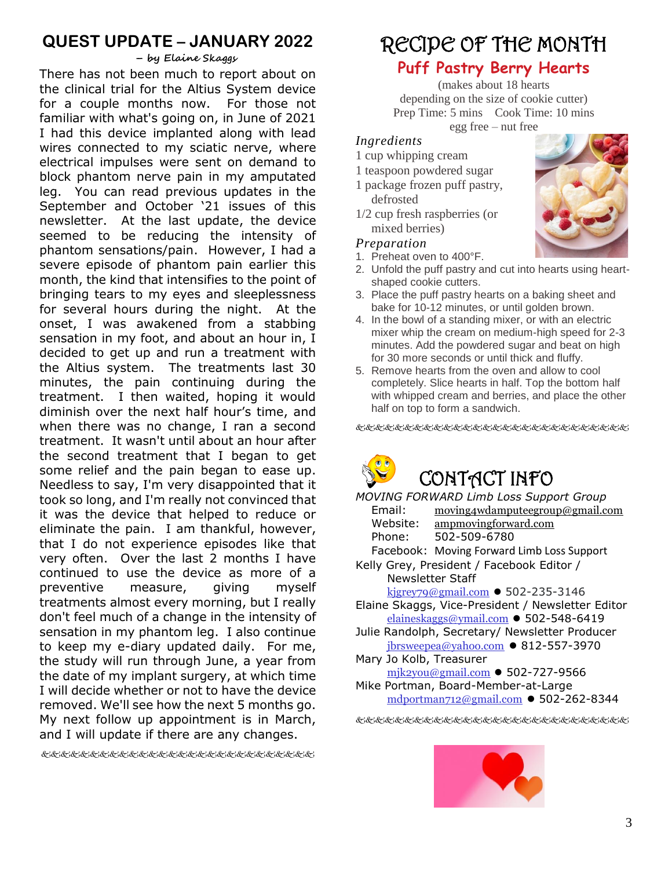# **QUEST UPDATE – JANUARY 2022**

#### **– by Elaine Skaggs**

There has not been much to report about on the clinical trial for the Altius System device for a couple months now. For those not familiar with what's going on, in June of 2021 I had this device implanted along with lead wires connected to my sciatic nerve, where electrical impulses were sent on demand to block phantom nerve pain in my amputated leg. You can read previous updates in the September and October '21 issues of this newsletter. At the last update, the device seemed to be reducing the intensity of phantom sensations/pain. However, I had a severe episode of phantom pain earlier this month, the kind that intensifies to the point of bringing tears to my eyes and sleeplessness for several hours during the night. At the onset, I was awakened from a stabbing sensation in my foot, and about an hour in, I decided to get up and run a treatment with the Altius system. The treatments last 30 minutes, the pain continuing during the treatment. I then waited, hoping it would diminish over the next half hour's time, and when there was no change, I ran a second treatment. It wasn't until about an hour after the second treatment that I began to get some relief and the pain began to ease up. Needless to say, I'm very disappointed that it took so long, and I'm really not convinced that it was the device that helped to reduce or eliminate the pain. I am thankful, however, that I do not experience episodes like that very often. Over the last 2 months I have continued to use the device as more of a preventive measure, giving myself treatments almost every morning, but I really don't feel much of a change in the intensity of sensation in my phantom leg. I also continue to keep my e-diary updated daily. For me, the study will run through June, a year from the date of my implant surgery, at which time I will decide whether or not to have the device removed. We'll see how the next 5 months go. My next follow up appointment is in March, and I will update if there are any changes.

# RECIPE OF THE MONTH

# **Puff Pastry Berry Hearts**

(makes about 18 hearts depending on the size of cookie cutter) Prep Time: 5 mins Cook Time: 10 mins egg free – nut free

### *Ingredients*

- 1 cup whipping cream
- 1 teaspoon powdered sugar
- 1 package frozen puff pastry, defrosted
- 1/2 cup fresh raspberries (or mixed berries)

#### *Preparation*

- 1. Preheat oven to 400°F.
- 2. Unfold the puff pastry and cut into hearts using heartshaped cookie cutters.
- 3. Place the puff pastry hearts on a baking sheet and bake for 10-12 minutes, or until golden brown.
- 4. In the bowl of a standing mixer, or with an electric mixer whip the cream on medium-high speed for 2-3 minutes. Add the powdered sugar and beat on high for 30 more seconds or until thick and fluffy.
- 5. Remove hearts from the oven and allow to cool completely. Slice hearts in half. Top the bottom half with whipped cream and berries, and place the other half on top to form a sandwich.

&&&&&&&&&&&&&&&&&&&&&&&&



*MOVING FORWARD Limb Loss Support Group* Email: [moving4wdamputeegroup@gmail.com](http://us-mg6.mail.yahoo.com/yab-fe/mu/MainView?.src=neo&themeName=pink&bn=54_3093&s=0&pc=1&bucketId=0&stab=1383513823935/yab-fe/mu/MainView?.src=neo&themeName=pink&bn=54_3093&s=0&pc=1&bucketId=0&stab=1383513823937) Website: ampmovingforward.com Phone: 502-509-6780 Facebook: Moving Forward Limb Loss Support Kelly Grey, President / Facebook Editor / Newsletter Staff [kjgrey79@gmail.com](mailto:kjgrey79@gmail.com) ⚫ 502-235-3146 Elaine Skaggs, Vice-President / Newsletter Editor [elaineskaggs@ymail.com](mailto:elaineskaggs@ymail.com) ⚫ 502-548-6419 Julie Randolph, Secretary/ Newsletter Producer  $ibrswee ea@vahoo.com$   $\bullet$  812-557-3970

- Mary Jo Kolb, Treasurer
- [mjk2you@gmail.com](mailto:mjk2you@gmail.com) ⚫ 502-727-9566
- Mike Portman, Board-Member-at-Large [mdportman712@gmail.com](mailto:mdportman712@gmail.com) ⚫ 502-262-8344

《长安》史》史》史》史记》史记》史记记记记记记记记记记记记》



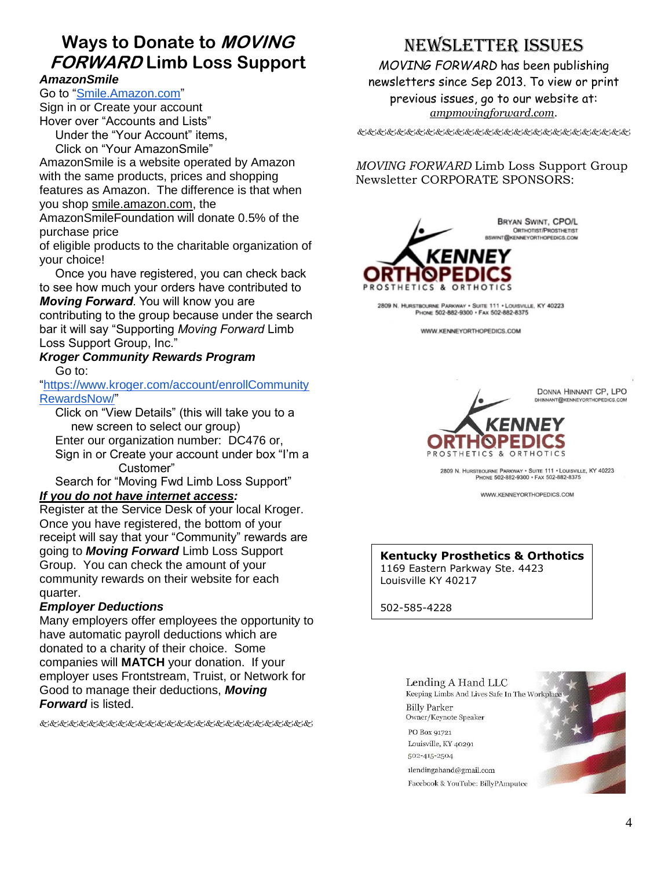# **Ways to Donate to MOVING FORWARD Limb Loss Support**

### *AmazonSmile*

Go to ["Smile.Amazon.com"](https://smile.amazon.com/ap/signin?_encoding=UTF8&openid.assoc_handle=amzn_smile_mobile&openid.claimed_id=http%3A%2F%2Fspecs.openid.net%2Fauth%2F2.0%2Fidentifier_select&openid.identity=http%3A%2F%2Fspecs.openid.net%2Fauth%2F2.0%2Fidentifier_select&openid.mode=checkid_setup&openid.ns=http%3A%2F%2Fspecs.openid.net%2Fauth%2F2.0&openid.ns.pape=http%3A%2F%2Fspecs.openid.net%2Fextensions%2Fpape%2F1.0&openid.pape.max_auth_age=0&openid.return_to=https%3A%2F%2Fsmile.amazon.com%2Fgp%2Faw%2Fch%2Fhomepage)

Sign in or Create your account Hover over "Accounts and Lists"

Under the "Your Account" items, Click on "Your AmazonSmile"

AmazonSmile is a website operated by Amazon with the same products, prices and shopping features as Amazon. The difference is that when you shop smile.amazon.com, the

AmazonSmileFoundation will donate 0.5% of the purchase price

of eligible products to the charitable organization of your choice!

Once you have registered, you can check back to see how much your orders have contributed to *Moving Forward*. You will know you are contributing to the group because under the search bar it will say "Supporting *Moving Forward* Limb Loss Support Group, Inc."

#### *Kroger Community Rewards Program* Go to:

["https://www.kroger.com/account/enrollCommunity](https://www.kroger.com/account/enrollCommunityRewardsNow/) [RewardsNow/"](https://www.kroger.com/account/enrollCommunityRewardsNow/)

Click on "View Details" (this will take you to a new screen to select our group) Enter our organization number: DC476 or, Sign in or Create your account under box "I'm a Customer"

Search for "Moving Fwd Limb Loss Support" *If you do not have internet access:*

Register at the Service Desk of your local Kroger. Once you have registered, the bottom of your receipt will say that your "Community" rewards are going to *Moving Forward* Limb Loss Support Group. You can check the amount of your community rewards on their website for each quarter.

### *Employer Deductions*

Many employers offer employees the opportunity to have automatic payroll deductions which are donated to a charity of their choice. Some companies will **MATCH** your donation. If your employer uses Frontstream, Truist, or Network for Good to manage their deductions, *Moving Forward* is listed.

使发起的发光发光光光光光光光光光光光光光光光光光光

# NEWSLETTER ISSUES

*MOVING FORWARD* has been publishing newsletters since Sep 2013. To view or print previous issues, go to our website at: *ampmovingforward.com.*

发达的比比比比比比比比比比比比比比比比比比比比比比

*MOVING FORWARD* Limb Loss Support Group Newsletter CORPORATE SPONSORS:



2809 N. HURSTBOURNE PARKWAY . SUITE 111 . LOUISVILLE, KY 40223 PHONE 502-882-9300 · FAX 502-882-8375

WWW.KENNEYORTHOPEDICS.COM

DONNA HINNANT CP, LPO DHINNANT@KENNEYORTHOPEDICS.COM



2809 N. HURSTBOURNE PARKWAY . SUITE 111 . LOUISVILLE, KY 40223 PHONE 502-882-9300 · FAX 502-882-8375

WWW.KENNEYORTHOPEDICS.COM

## **Kentucky Prosthetics & Orthotics**

1169 Eastern Parkway Ste. 4423 Louisville KY 40217

502-585-4228

### Lending A Hand LLC

Keeping Limbs And Lives Safe In The Workplace **Billy Parker** Owner/Keynote Speaker

PO Box 91721 Louisville, KY 40291 502-415-2504

1lendingahand@gmail.com Facebook & YouTube: BillyPAmputee